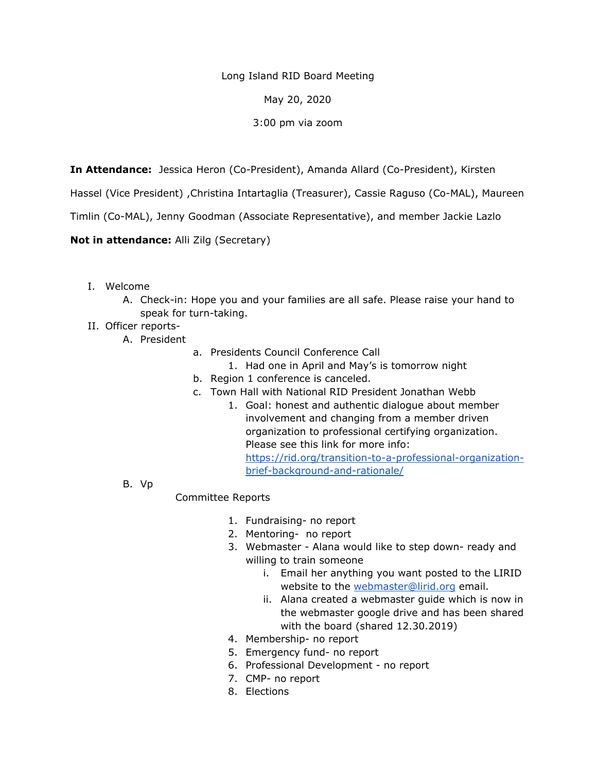Long Island RID Board Meeting

May 20, 2020

3:00 pm via zoom

**In Attendance:** Jessica Heron (Co-President), Amanda Allard (Co-President), Kirsten

Hassel (Vice President) ,Christina Intartaglia (Treasurer), Cassie Raguso (Co-MAL), Maureen

Timlin (Co-MAL), Jenny Goodman (Associate Representative), and member Jackie Lazlo

**Not in attendance:** Alli Zilg (Secretary)

- I. Welcome
	- A. Check-in: Hope you and your families are all safe. Please raise your hand to speak for turn-taking.
- II. Officer reports-
	- A. President
		- a. Presidents Council Conference Call
			- 1. Had one in April and May's is tomorrow night
		- b. Region 1 conference is canceled.
		- c. Town Hall with National RID President Jonathan Webb
			- 1. Goal: honest and authentic dialogue about member involvement and changing from a member driven organization to professional certifying organization. Please see this link for more info: [https://rid.org/transition-to-a-professional-organization](https://rid.org/transition-to-a-professional-organization-brief-background-and-rationale/)[brief-background-and-rationale/](https://rid.org/transition-to-a-professional-organization-brief-background-and-rationale/)
	- B. Vp

## Committee Reports

- 1. Fundraising- no report
- 2. Mentoring- no report
- 3. Webmaster Alana would like to step down- ready and willing to train someone
	- i. Email her anything you want posted to the LIRID website to the webmaster@lirid.org email.
	- ii. Alana created a webmaster guide which is now in the webmaster google drive and has been shared with the board (shared 12.30.2019)
- 4. Membership- no report
- 5. Emergency fund- no report
- 6. Professional Development no report
- 7. CMP- no report
- 8. Elections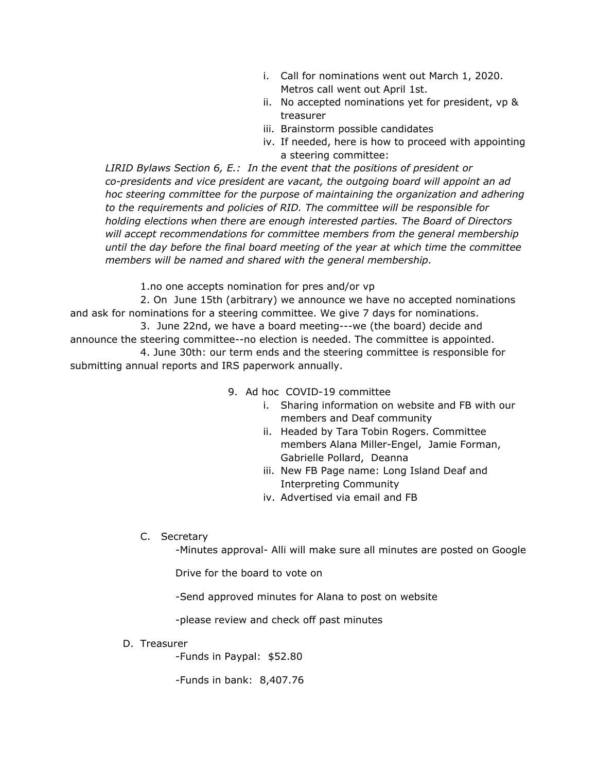- i. Call for nominations went out March 1, 2020. Metros call went out April 1st.
- ii. No accepted nominations yet for president, vp & treasurer
- iii. Brainstorm possible candidates
- iv. If needed, here is how to proceed with appointing a steering committee:

*LIRID Bylaws Section 6, E.: In the event that the positions of president or co-presidents and vice president are vacant, the outgoing board will appoint an ad hoc steering committee for the purpose of maintaining the organization and adhering to the requirements and policies of RID. The committee will be responsible for holding elections when there are enough interested parties. The Board of Directors will accept recommendations for committee members from the general membership until the day before the final board meeting of the year at which time the committee members will be named and shared with the general membership.*

1.no one accepts nomination for pres and/or vp

2. On June 15th (arbitrary) we announce we have no accepted nominations and ask for nominations for a steering committee. We give 7 days for nominations.

3. June 22nd, we have a board meeting---we (the board) decide and announce the steering committee--no election is needed. The committee is appointed.

4. June 30th: our term ends and the steering committee is responsible for submitting annual reports and IRS paperwork annually.

- 9. Ad hoc COVID-19 committee
	- i. Sharing information on website and FB with our members and Deaf community
	- ii. Headed by Tara Tobin Rogers. Committee members Alana Miller-Engel, Jamie Forman, Gabrielle Pollard, Deanna
	- iii. New FB Page name: Long Island Deaf and Interpreting Community
	- iv. Advertised via email and FB
- C. Secretary

-Minutes approval- Alli will make sure all minutes are posted on Google

Drive for the board to vote on

-Send approved minutes for Alana to post on website

-please review and check off past minutes

D. Treasurer

-Funds in Paypal: \$52.80

-Funds in bank: 8,407.76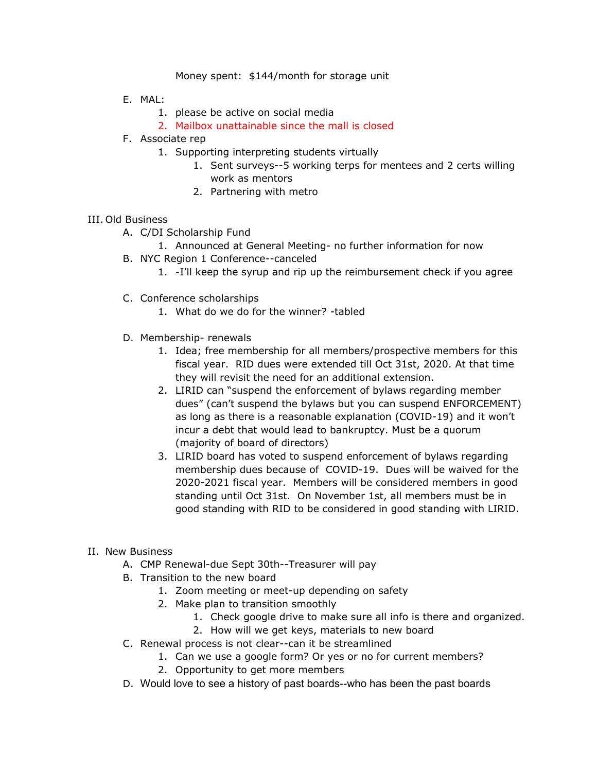## Money spent: \$144/month for storage unit

- E. MAL:
	- 1. please be active on social media
	- 2. Mailbox unattainable since the mall is closed
- F. Associate rep
	- 1. Supporting interpreting students virtually
		- 1. Sent surveys--5 working terps for mentees and 2 certs willing work as mentors
		- 2. Partnering with metro

## III. Old Business

- A. C/DI Scholarship Fund
	- 1. Announced at General Meeting- no further information for now
- B. NYC Region 1 Conference--canceled
	- 1. -I'll keep the syrup and rip up the reimbursement check if you agree
- C. Conference scholarships
	- 1. What do we do for the winner? -tabled
- D. Membership- renewals
	- 1. Idea; free membership for all members/prospective members for this fiscal year. RID dues were extended till Oct 31st, 2020. At that time they will revisit the need for an additional extension.
	- 2. LIRID can "suspend the enforcement of bylaws regarding member dues" (can't suspend the bylaws but you can suspend ENFORCEMENT) as long as there is a reasonable explanation (COVID-19) and it won't incur a debt that would lead to bankruptcy. Must be a quorum (majority of board of directors)
	- 3. LIRID board has voted to suspend enforcement of bylaws regarding membership dues because of COVID-19. Dues will be waived for the 2020-2021 fiscal year. Members will be considered members in good standing until Oct 31st. On November 1st, all members must be in good standing with RID to be considered in good standing with LIRID.
- II. New Business
	- A. CMP Renewal-due Sept 30th--Treasurer will pay
	- B. Transition to the new board
		- 1. Zoom meeting or meet-up depending on safety
		- 2. Make plan to transition smoothly
			- 1. Check google drive to make sure all info is there and organized.
			- 2. How will we get keys, materials to new board
	- C. Renewal process is not clear--can it be streamlined
		- 1. Can we use a google form? Or yes or no for current members?
		- 2. Opportunity to get more members
	- D. Would love to see a history of past boards--who has been the past boards